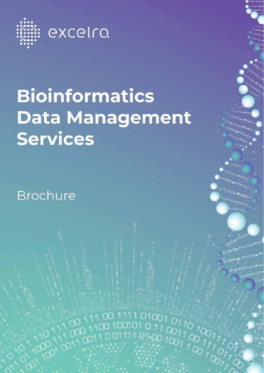

# **Bioinformatics Data Management Services**

1001001001001001001001001001100110011001100110011001100110011001100110011001100110011001100110011001100110011001100110011001100110011001100110011001100110011001100110011001100110011001100110011001100110011001100110011001100

**Brochure**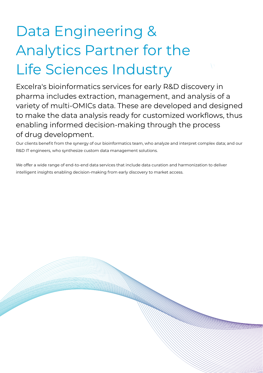# Data Engineering & Analytics Partner for the Life Sciences Industry

Excelra's bioinformatics services for early R&D discovery in pharma includes extraction, management, and analysis of a variety of multi-OMICs data. These are developed and designed to make the data analysis ready for customized workflows, thus enabling informed decision-making through the process of drug development.

Our clients benefit from the synergy of our bioinformatics team, who analyze and interpret complex data; and our R&D IT engineers, who synthesize custom data management solutions.

We offer a wide range of end-to-end data services that include data curation and harmonization to deliver intelligent insights enabling decision-making from early discovery to market access.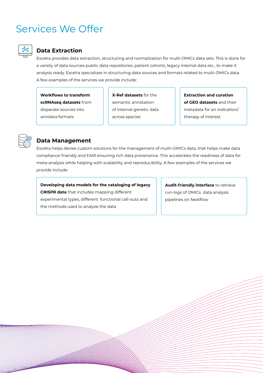# Services We Offer



### **Data Extraction**

Excelra provides data extraction, structuring and normalization for multi-OMICs data sets. This is done for a variety of data sources-public data repositories, patient cohorts, legacy internal data etc., to make it analysis ready. Excelra specializes in structuring data sources and formats related to multi-OMICs data. A few examples of the services we provide include:

**Workflows to transform scRNAseq datasets** from disparate sources into anndata formats

**X-Ref datasets** for the semantic annotation of internal genetic data across species

**Extraction and curation of GEO datasets** and their metadata for an indication/ therapy of interest



### **Data Management**

Excelra helps devise custom solutions for the management of multi-OMICs data, that helps make data compliance-friendly and FAIR ensuring rich data provenance. This accelerates the readiness of data for meta-analysis while helping with scalability and reproducibility. A few examples of the services we provide include:

#### **Developing data models for the cataloging of legacy**

**CRISPR data** that includes mapping different experimental types, different functional call-outs and the methods used to analyze the data

**Audit-friendly interface** to retrieve run-logs of OMICs data analysis pipelines on Nextflow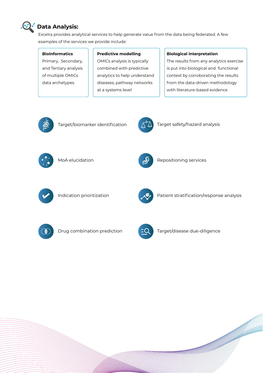

## **Data Analysis:**

Excelra provides analytical services to help generate value from the data being federated. A few examples of the services we provide include:

#### **Bioinformatics**

Primary, Secondary, and Tertiary analysis of multiple OMICs data archetypes

#### **Predictive modelling**

OMICs analysis is typically combined with predictive analytics to help understand diseases, pathway networks at a systems level

#### **Biological interpretation**

The results from any analytics exercise is put into biological and functional context by corroborating the results from the data-driven methodology with literature-based evidence



Target/biomarker identification  $\Lambda$ <sup>2</sup> Target safety/hazard analysis







MoA elucidation **Repositioning services** 





Indication prioritization **Patient Stratification/response analysis** 





Drug combination prediction  $TQ$  Target/disease due-diligence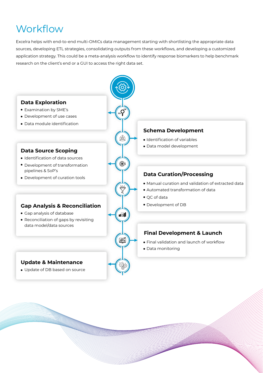# **Workflow**

Excelra helps with end-to-end multi-OMICs data management starting with shortlisting the appropriate data sources, developing ETL strategies, consolidating outputs from these workflows, and developing a customized application strategy. This could be a meta-analysis workflow to identify response biomarkers to help benchmark research on the client's end or a GUI to access the right data set.

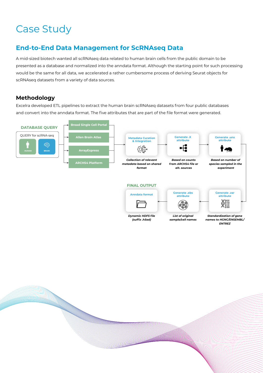# Case Study

# **End-to-End Data Management for ScRNAseq Data**

A mid-sized biotech wanted all scRNAseq data related to human brain cells from the public domain to be presented as a database and normalized into the anndata format. Although the starting point for such processing would be the same for all data, we accelerated a rather cumbersome process of deriving Seurat objects for scRNAseq datasets from a variety of data sources.

## **Methodology**

Excelra developed ETL pipelines to extract the human brain scRNAseq datasets from four public databases and convert into the anndata format. The five attributes that are part of the file format were generated.



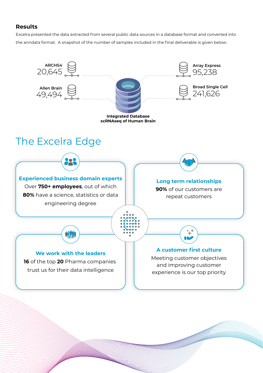### **Results**

Excelra presented the data extracted from several public data sources in a database format and converted into the anndata format. A snapshot of the number of samples included in the final deliverable is given below: